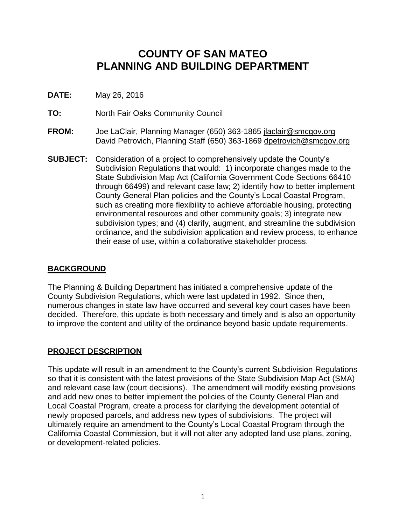# **COUNTY OF SAN MATEO PLANNING AND BUILDING DEPARTMENT**

- **DATE:** May 26, 2016
- **TO:** North Fair Oaks Community Council
- **FROM:** Joe LaClair, Planning Manager (650) 363-1865 jlaclair@smcgov.org David Petrovich, Planning Staff (650) 363-1869 [dpetrovich@smcgov.org](mailto:dpetrovich@smcgov.org)
- **SUBJECT:** Consideration of a project to comprehensively update the County's Subdivision Regulations that would: 1) incorporate changes made to the State Subdivision Map Act (California Government Code Sections 66410 through 66499) and relevant case law; 2) identify how to better implement County General Plan policies and the County's Local Coastal Program, such as creating more flexibility to achieve affordable housing, protecting environmental resources and other community goals; 3) integrate new subdivision types; and (4) clarify, augment, and streamline the subdivision ordinance, and the subdivision application and review process, to enhance their ease of use, within a collaborative stakeholder process.

## **BACKGROUND**

The Planning & Building Department has initiated a comprehensive update of the County Subdivision Regulations, which were last updated in 1992. Since then, numerous changes in state law have occurred and several key court cases have been decided. Therefore, this update is both necessary and timely and is also an opportunity to improve the content and utility of the ordinance beyond basic update requirements.

## **PROJECT DESCRIPTION**

This update will result in an amendment to the County's current Subdivision Regulations so that it is consistent with the latest provisions of the State Subdivision Map Act (SMA) and relevant case law (court decisions). The amendment will modify existing provisions and add new ones to better implement the policies of the County General Plan and Local Coastal Program, create a process for clarifying the development potential of newly proposed parcels, and address new types of subdivisions. The project will ultimately require an amendment to the County's Local Coastal Program through the California Coastal Commission, but it will not alter any adopted land use plans, zoning, or development-related policies.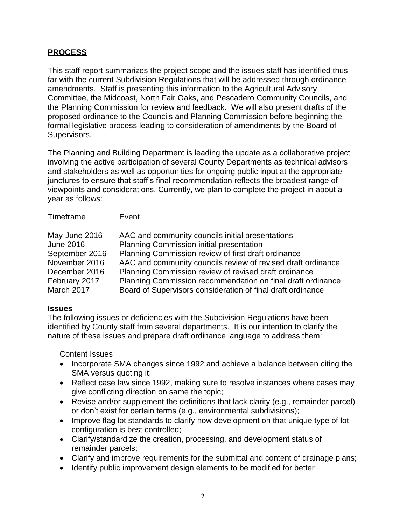## **PROCESS**

This staff report summarizes the project scope and the issues staff has identified thus far with the current Subdivision Regulations that will be addressed through ordinance amendments. Staff is presenting this information to the Agricultural Advisory Committee, the Midcoast, North Fair Oaks, and Pescadero Community Councils, and the Planning Commission for review and feedback. We will also present drafts of the proposed ordinance to the Councils and Planning Commission before beginning the formal legislative process leading to consideration of amendments by the Board of Supervisors.

The Planning and Building Department is leading the update as a collaborative project involving the active participation of several County Departments as technical advisors and stakeholders as well as opportunities for ongoing public input at the appropriate junctures to ensure that staff's final recommendation reflects the broadest range of viewpoints and considerations. Currently, we plan to complete the project in about a year as follows:

#### Timeframe **Event**

| May-June 2016    | AAC and community councils initial presentations             |
|------------------|--------------------------------------------------------------|
| <b>June 2016</b> | Planning Commission initial presentation                     |
| September 2016   | Planning Commission review of first draft ordinance          |
| November 2016    | AAC and community councils review of revised draft ordinance |
| December 2016    | Planning Commission review of revised draft ordinance        |
| February 2017    | Planning Commission recommendation on final draft ordinance  |
| March 2017       | Board of Supervisors consideration of final draft ordinance  |

#### **Issues**

The following issues or deficiencies with the Subdivision Regulations have been identified by County staff from several departments. It is our intention to clarify the nature of these issues and prepare draft ordinance language to address them:

#### Content Issues

- Incorporate SMA changes since 1992 and achieve a balance between citing the SMA versus quoting it:
- Reflect case law since 1992, making sure to resolve instances where cases may give conflicting direction on same the topic;
- Revise and/or supplement the definitions that lack clarity (e.g., remainder parcel) or don't exist for certain terms (e.g., environmental subdivisions);
- Improve flag lot standards to clarify how development on that unique type of lot configuration is best controlled;
- Clarify/standardize the creation, processing, and development status of remainder parcels;
- Clarify and improve requirements for the submittal and content of drainage plans;
- Identify public improvement design elements to be modified for better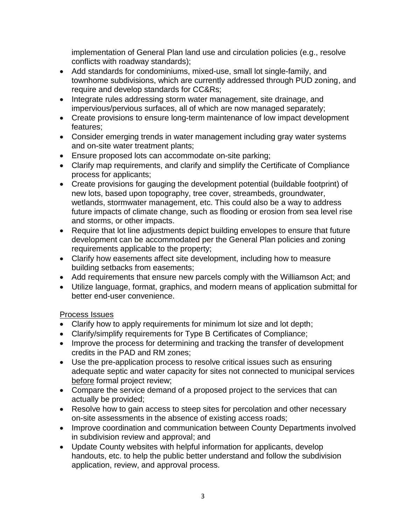implementation of General Plan land use and circulation policies (e.g., resolve conflicts with roadway standards);

- Add standards for condominiums, mixed-use, small lot single-family, and townhome subdivisions, which are currently addressed through PUD zoning, and require and develop standards for CC&Rs;
- Integrate rules addressing storm water management, site drainage, and impervious/pervious surfaces, all of which are now managed separately;
- Create provisions to ensure long-term maintenance of low impact development features;
- Consider emerging trends in water management including gray water systems and on-site water treatment plants;
- Ensure proposed lots can accommodate on-site parking;
- Clarify map requirements, and clarify and simplify the Certificate of Compliance process for applicants;
- Create provisions for gauging the development potential (buildable footprint) of new lots, based upon topography, tree cover, streambeds, groundwater, wetlands, stormwater management, etc. This could also be a way to address future impacts of climate change, such as flooding or erosion from sea level rise and storms, or other impacts.
- Require that lot line adiustments depict building envelopes to ensure that future development can be accommodated per the General Plan policies and zoning requirements applicable to the property;
- Clarify how easements affect site development, including how to measure building setbacks from easements;
- Add requirements that ensure new parcels comply with the Williamson Act; and
- Utilize language, format, graphics, and modern means of application submittal for better end-user convenience.

# Process Issues

- Clarify how to apply requirements for minimum lot size and lot depth;
- Clarify/simplify requirements for Type B Certificates of Compliance;
- Improve the process for determining and tracking the transfer of development credits in the PAD and RM zones;
- Use the pre-application process to resolve critical issues such as ensuring adequate septic and water capacity for sites not connected to municipal services before formal project review;
- Compare the service demand of a proposed project to the services that can actually be provided;
- Resolve how to gain access to steep sites for percolation and other necessary on-site assessments in the absence of existing access roads;
- Improve coordination and communication between County Departments involved in subdivision review and approval; and
- Update County websites with helpful information for applicants, develop handouts, etc. to help the public better understand and follow the subdivision application, review, and approval process.